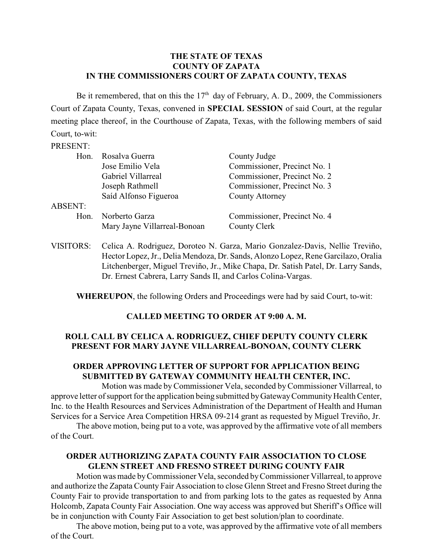#### **THE STATE OF TEXAS COUNTY OF ZAPATA IN THE COMMISSIONERS COURT OF ZAPATA COUNTY, TEXAS**

Be it remembered, that on this the  $17<sup>th</sup>$  day of February, A. D., 2009, the Commissioners Court of Zapata County, Texas, convened in **SPECIAL SESSION** of said Court, at the regular meeting place thereof, in the Courthouse of Zapata, Texas, with the following members of said Court, to-wit:

#### PRESENT:

|                | Hon. Rosalva Guerra          | County Judge                 |
|----------------|------------------------------|------------------------------|
|                | Jose Emilio Vela             | Commissioner, Precinct No. 1 |
|                | Gabriel Villarreal           | Commissioner, Precinct No. 2 |
|                | Joseph Rathmell              | Commissioner, Precinct No. 3 |
|                | Saíd Alfonso Figueroa        | <b>County Attorney</b>       |
| <b>ABSENT:</b> |                              |                              |
| Hon.           | Norberto Garza               | Commissioner, Precinct No. 4 |
|                | Mary Jayne Villarreal-Bonoan | County Clerk                 |
|                |                              |                              |

VISITORS: Celica A. Rodriguez, Doroteo N. Garza, Mario Gonzalez-Davis, Nellie Treviño, Hector Lopez, Jr., Delia Mendoza, Dr. Sands, Alonzo Lopez, Rene Garcilazo, Oralia Litchenberger, Miguel Treviño, Jr., Mike Chapa, Dr. Satish Patel, Dr. Larry Sands, Dr. Ernest Cabrera, Larry Sands II, and Carlos Colina-Vargas.

**WHEREUPON**, the following Orders and Proceedings were had by said Court, to-wit:

#### **CALLED MEETING TO ORDER AT 9:00 A. M.**

# **ROLL CALL BY CELICA A. RODRIGUEZ, CHIEF DEPUTY COUNTY CLERK PRESENT FOR MARY JAYNE VILLARREAL-BONOAN, COUNTY CLERK**

### **ORDER APPROVING LETTER OF SUPPORT FOR APPLICATION BEING SUBMITTED BY GATEWAY COMMUNITY HEALTH CENTER, INC.**

Motion was made byCommissioner Vela, seconded byCommissioner Villarreal, to approve letter of support for the application being submitted by Gateway Community Health Center, Inc. to the Health Resources and Services Administration of the Department of Health and Human Services for a Service Area Competition HRSA 09-214 grant as requested by Miguel Treviño, Jr.

The above motion, being put to a vote, was approved by the affirmative vote of all members of the Court.

# **ORDER AUTHORIZING ZAPATA COUNTY FAIR ASSOCIATION TO CLOSE GLENN STREET AND FRESNO STREET DURING COUNTY FAIR**

Motion was made byCommissioner Vela, seconded by Commissioner Villarreal, to approve and authorize the Zapata County Fair Association to close Glenn Street and Fresno Street during the County Fair to provide transportation to and from parking lots to the gates as requested by Anna Holcomb, Zapata County Fair Association. One way access was approved but Sheriff's Office will be in conjunction with County Fair Association to get best solution/plan to coordinate.

The above motion, being put to a vote, was approved by the affirmative vote of all members of the Court.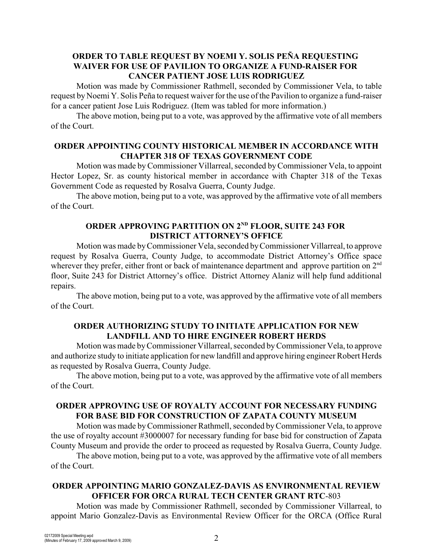### **ORDER TO TABLE REQUEST BY NOEMI Y. SOLIS PEÑA REQUESTING WAIVER FOR USE OF PAVILION TO ORGANIZE A FUND-RAISER FOR CANCER PATIENT JOSE LUIS RODRIGUEZ**

Motion was made by Commissioner Rathmell, seconded by Commissioner Vela, to table request by Noemi Y. Solis Peña to request waiver for the use of the Pavilion to organize a fund-raiser for a cancer patient Jose Luis Rodriguez. (Item was tabled for more information.)

The above motion, being put to a vote, was approved by the affirmative vote of all members of the Court.

#### **ORDER APPOINTING COUNTY HISTORICAL MEMBER IN ACCORDANCE WITH CHAPTER 318 OF TEXAS GOVERNMENT CODE**

Motion was made byCommissioner Villarreal, seconded by Commissioner Vela, to appoint Hector Lopez, Sr. as county historical member in accordance with Chapter 318 of the Texas Government Code as requested by Rosalva Guerra, County Judge.

The above motion, being put to a vote, was approved by the affirmative vote of all members of the Court.

# **ORDER APPROVING PARTITION ON 2<sup>ND</sup> FLOOR, SUITE 243 FOR DISTRICT ATTORNEY'S OFFICE**

Motion was made by Commissioner Vela, seconded byCommissioner Villarreal, to approve request by Rosalva Guerra, County Judge, to accommodate District Attorney's Office space wherever they prefer, either front or back of maintenance department and approve partition on 2<sup>nd</sup> floor, Suite 243 for District Attorney's office. District Attorney Alaniz will help fund additional repairs.

The above motion, being put to a vote, was approved by the affirmative vote of all members of the Court.

#### **ORDER AUTHORIZING STUDY TO INITIATE APPLICATION FOR NEW LANDFILL AND TO HIRE ENGINEER ROBERT HERDS**

Motion was made byCommissioner Villarreal, seconded byCommissioner Vela, to approve and authorize study to initiate application for new landfill and approve hiring engineer Robert Herds as requested by Rosalva Guerra, County Judge.

The above motion, being put to a vote, was approved by the affirmative vote of all members of the Court.

# **ORDER APPROVING USE OF ROYALTY ACCOUNT FOR NECESSARY FUNDING FOR BASE BID FOR CONSTRUCTION OF ZAPATA COUNTY MUSEUM**

Motion was made by Commissioner Rathmell, seconded by Commissioner Vela, to approve the use of royalty account #3000007 for necessary funding for base bid for construction of Zapata County Museum and provide the order to proceed as requested by Rosalva Guerra, County Judge.

The above motion, being put to a vote, was approved by the affirmative vote of all members of the Court.

# **ORDER APPOINTING MARIO GONZALEZ-DAVIS AS ENVIRONMENTAL REVIEW OFFICER FOR ORCA RURAL TECH CENTER GRANT RTC**-803

Motion was made by Commissioner Rathmell, seconded by Commissioner Villarreal, to appoint Mario Gonzalez-Davis as Environmental Review Officer for the ORCA (Office Rural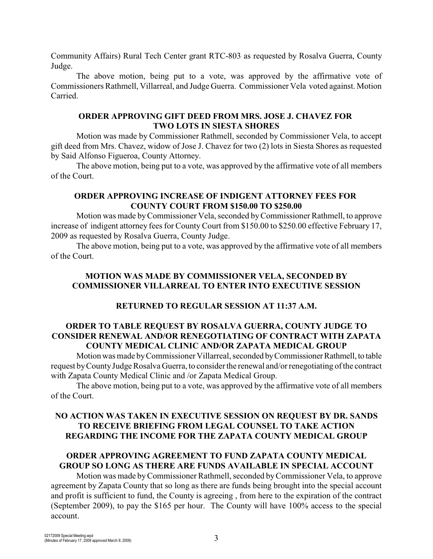Community Affairs) Rural Tech Center grant RTC-803 as requested by Rosalva Guerra, County Judge.

The above motion, being put to a vote, was approved by the affirmative vote of Commissioners Rathmell, Villarreal, and Judge Guerra. Commissioner Vela voted against. Motion Carried.

#### **ORDER APPROVING GIFT DEED FROM MRS. JOSE J. CHAVEZ FOR TWO LOTS IN SIESTA SHORES**

Motion was made by Commissioner Rathmell, seconded by Commissioner Vela, to accept gift deed from Mrs. Chavez, widow of Jose J. Chavez for two (2) lots in Siesta Shores as requested by Said Alfonso Figueroa, County Attorney.

The above motion, being put to a vote, was approved by the affirmative vote of all members of the Court.

### **ORDER APPROVING INCREASE OF INDIGENT ATTORNEY FEES FOR COUNTY COURT FROM \$150.00 TO \$250.00**

Motion was made byCommissioner Vela, seconded by Commissioner Rathmell, to approve increase of indigent attorney fees for County Court from \$150.00 to \$250.00 effective February 17, 2009 as requested by Rosalva Guerra, County Judge.

The above motion, being put to a vote, was approved by the affirmative vote of all members of the Court.

### **MOTION WAS MADE BY COMMISSIONER VELA, SECONDED BY COMMISSIONER VILLARREAL TO ENTER INTO EXECUTIVE SESSION**

### **RETURNED TO REGULAR SESSION AT 11:37 A.M.**

# **ORDER TO TABLE REQUEST BY ROSALVA GUERRA, COUNTY JUDGE TO CONSIDER RENEWAL AND/OR RENEGOTIATING OF CONTRACT WITH ZAPATA COUNTY MEDICAL CLINIC AND/OR ZAPATA MEDICAL GROUP**

Motion was made by Commissioner Villarreal, seconded by Commissioner Rathmell, to table request by County Judge Rosalva Guerra, to consider the renewal and/or renegotiating of the contract with Zapata County Medical Clinic and /or Zapata Medical Group.

The above motion, being put to a vote, was approved by the affirmative vote of all members of the Court.

# **NO ACTION WAS TAKEN IN EXECUTIVE SESSION ON REQUEST BY DR. SANDS TO RECEIVE BRIEFING FROM LEGAL COUNSEL TO TAKE ACTION REGARDING THE INCOME FOR THE ZAPATA COUNTY MEDICAL GROUP**

# **ORDER APPROVING AGREEMENT TO FUND ZAPATA COUNTY MEDICAL GROUP SO LONG AS THERE ARE FUNDS AVAILABLE IN SPECIAL ACCOUNT**

Motion was made by Commissioner Rathmell, seconded by Commissioner Vela, to approve agreement by Zapata County that so long as there are funds being brought into the special account and profit is sufficient to fund, the County is agreeing , from here to the expiration of the contract (September 2009), to pay the \$165 per hour. The County will have 100% access to the special account.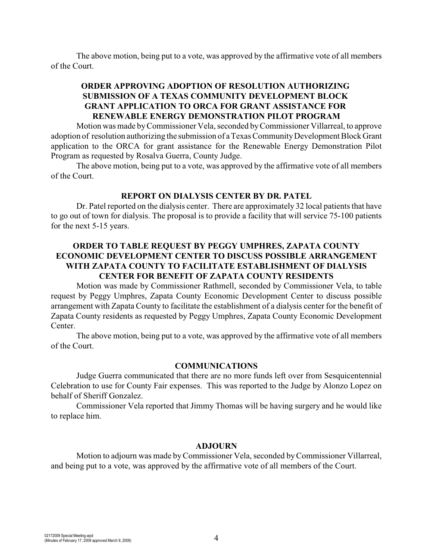The above motion, being put to a vote, was approved by the affirmative vote of all members of the Court.

### **ORDER APPROVING ADOPTION OF RESOLUTION AUTHORIZING SUBMISSION OF A TEXAS COMMUNITY DEVELOPMENT BLOCK GRANT APPLICATION TO ORCA FOR GRANT ASSISTANCE FOR RENEWABLE ENERGY DEMONSTRATION PILOT PROGRAM**

Motion was made byCommissioner Vela, seconded byCommissioner Villarreal, to approve adoption of resolution authorizing the submission of a Texas Community Development Block Grant application to the ORCA for grant assistance for the Renewable Energy Demonstration Pilot Program as requested by Rosalva Guerra, County Judge.

The above motion, being put to a vote, was approved by the affirmative vote of all members of the Court.

#### **REPORT ON DIALYSIS CENTER BY DR. PATEL**

Dr. Patel reported on the dialysis center. There are approximately 32 local patients that have to go out of town for dialysis. The proposal is to provide a facility that will service 75-100 patients for the next 5-15 years.

# **ORDER TO TABLE REQUEST BY PEGGY UMPHRES, ZAPATA COUNTY ECONOMIC DEVELOPMENT CENTER TO DISCUSS POSSIBLE ARRANGEMENT WITH ZAPATA COUNTY TO FACILITATE ESTABLISHMENT OF DIALYSIS CENTER FOR BENEFIT OF ZAPATA COUNTY RESIDENTS**

Motion was made by Commissioner Rathmell, seconded by Commissioner Vela, to table request by Peggy Umphres, Zapata County Economic Development Center to discuss possible arrangement with Zapata County to facilitate the establishment of a dialysis center for the benefit of Zapata County residents as requested by Peggy Umphres, Zapata County Economic Development Center.

The above motion, being put to a vote, was approved by the affirmative vote of all members of the Court.

#### **COMMUNICATIONS**

Judge Guerra communicated that there are no more funds left over from Sesquicentennial Celebration to use for County Fair expenses. This was reported to the Judge by Alonzo Lopez on behalf of Sheriff Gonzalez.

Commissioner Vela reported that Jimmy Thomas will be having surgery and he would like to replace him.

#### **ADJOURN**

Motion to adjourn was made by Commissioner Vela, seconded by Commissioner Villarreal, and being put to a vote, was approved by the affirmative vote of all members of the Court.